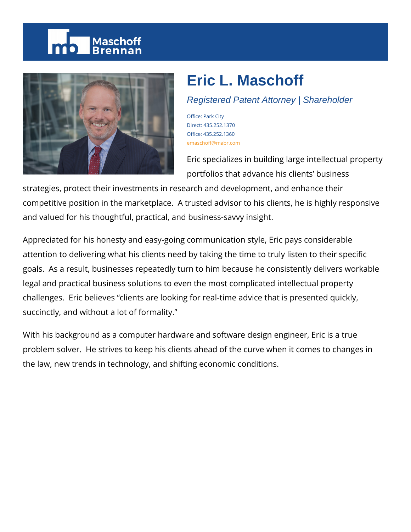# Maschoff



# **Eric L. Maschoff**

## Registered Patent Attorney | Shareholder

Office: Park City Direct: 435.252.1370 Office: 435.252.1360 emaschoff@mabr.com

Eric specializes in building large intellectual property portfolios that advance his clients' business

strategies, protect their investments in research and development, and enhance their competitive position in the marketplace. A trusted advisor to his clients, he is highly responsive and valued for his thoughtful, practical, and business-savvy insight.

Appreciated for his honesty and easy-going communication style, Eric pays considerable attention to delivering what his clients need by taking the time to truly listen to their specific goals. As a result, businesses repeatedly turn to him because he consistently delivers workable legal and practical business solutions to even the most complicated intellectual property challenges. Eric believes "clients are looking for real-time advice that is presented quickly, succinctly, and without a lot of formality."

With his background as a computer hardware and software design engineer, Eric is a true problem solver. He strives to keep his clients ahead of the curve when it comes to changes in the law, new trends in technology, and shifting economic conditions.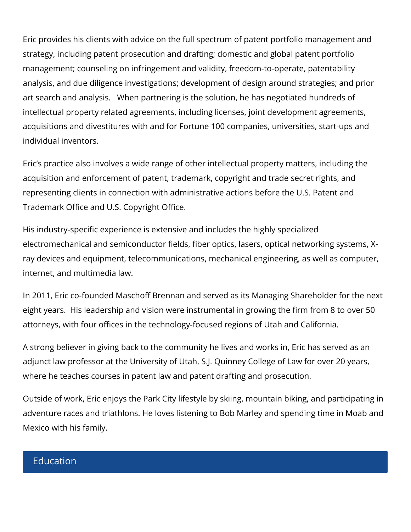Eric provides his clients with advice on the full spectrum of patent portfolio management and strategy, including patent prosecution and drafting; domestic and global patent portfolio management; counseling on infringement and validity, freedom-to-operate, patentability analysis, and due diligence investigations; development of design around strategies; and prior art search and analysis. When partnering is the solution, he has negotiated hundreds of intellectual property related agreements, including licenses, joint development agreements, acquisitions and divestitures with and for Fortune 100 companies, universities, start-ups and individual inventors.

Eric's practice also involves a wide range of other intellectual property matters, including the acquisition and enforcement of patent, trademark, copyright and trade secret rights, and representing clients in connection with administrative actions before the U.S. Patent and Trademark Office and U.S. Copyright Office.

His industry-specific experience is extensive and includes the highly specialized electromechanical and semiconductor fields, fiber optics, lasers, optical networking systems, Xray devices and equipment, telecommunications, mechanical engineering, as well as computer, internet, and multimedia law.

In 2011, Eric co-founded Maschoff Brennan and served as its Managing Shareholder for the next eight years. His leadership and vision were instrumental in growing the firm from 8 to over 50 attorneys, with four offices in the technology-focused regions of Utah and California.

A strong believer in giving back to the community he lives and works in, Eric has served as an adjunct law professor at the University of Utah, S.J. Quinney College of Law for over 20 years, where he teaches courses in patent law and patent drafting and prosecution.

Outside of work, Eric enjoys the Park City lifestyle by skiing, mountain biking, and participating in adventure races and triathlons. He loves listening to Bob Marley and spending time in Moab and Mexico with his family.

#### **Education**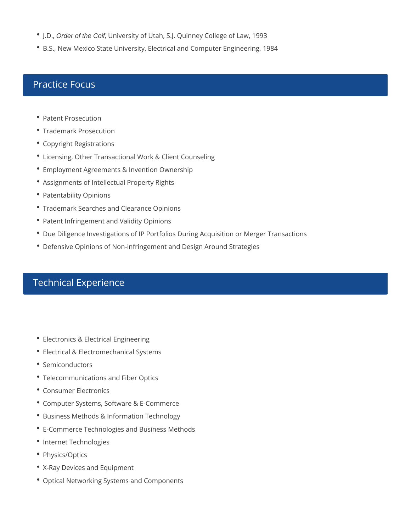- J.D., Order of the Coif, University of Utah, S.J. Quinney College of Law, 1993
- B.S., New Mexico State University, Electrical and Computer Engineering, 1984

# Practice Focus

- Patent Prosecution
- Trademark Prosecution
- Copyright Registrations
- Licensing, Other Transactional Work & Client Counseling
- Employment Agreements & Invention Ownership
- Assignments of Intellectual Property Rights
- Patentability Opinions
- Trademark Searches and Clearance Opinions
- Patent Infringement and Validity Opinions
- Due Diligence Investigations of IP Portfolios During Acquisition or Merger Transactions
- Defensive Opinions of Non-infringement and Design Around Strategies

# Technical Experience

- Electronics & Electrical Engineering
- Electrical & Electromechanical Systems
- Semiconductors
- Telecommunications and Fiber Optics
- Consumer Electronics
- Computer Systems, Software & E-Commerce
- **Business Methods & Information Technology**
- E-Commerce Technologies and Business Methods
- Internet Technologies
- Physics/Optics
- X-Ray Devices and Equipment
- Optical Networking Systems and Components